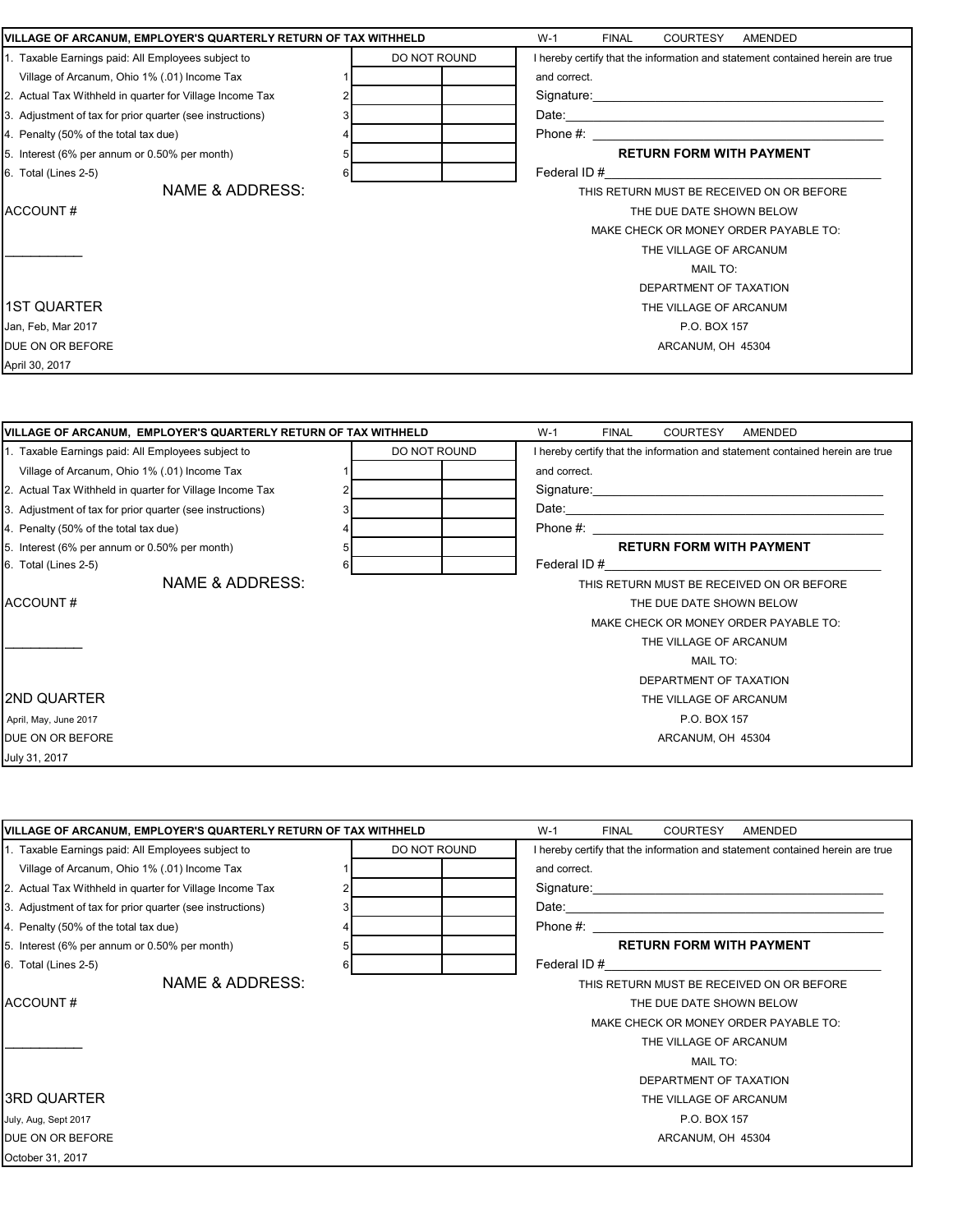| VILLAGE OF ARCANUM, EMPLOYER'S QUARTERLY RETURN OF TAX WITHHELD |              | $W-1$<br><b>FINAL</b><br>COURTESY<br>AMENDED                                                                                                                                                                                  |
|-----------------------------------------------------------------|--------------|-------------------------------------------------------------------------------------------------------------------------------------------------------------------------------------------------------------------------------|
| 1. Taxable Earnings paid: All Employees subject to              | DO NOT ROUND | I hereby certify that the information and statement contained herein are true                                                                                                                                                 |
| Village of Arcanum, Ohio 1% (.01) Income Tax                    |              | and correct.                                                                                                                                                                                                                  |
| 2. Actual Tax Withheld in quarter for Village Income Tax        |              |                                                                                                                                                                                                                               |
| 3. Adjustment of tax for prior quarter (see instructions)       |              |                                                                                                                                                                                                                               |
| 4. Penalty (50% of the total tax due)                           |              | Phone #: $\frac{1}{2}$                                                                                                                                                                                                        |
| 5. Interest (6% per annum or 0.50% per month)                   | 5            | <b>RETURN FORM WITH PAYMENT</b>                                                                                                                                                                                               |
| 6. Total (Lines 2-5)                                            | 6            | Federal ID # 6 and 10 and 10 and 10 and 10 and 10 and 10 and 10 and 10 and 10 and 10 and 10 and 10 and 10 and 10 and 10 and 10 and 10 and 10 and 10 and 10 and 10 and 10 and 10 and 10 and 10 and 10 and 10 and 10 and 10 and |
| <b>NAME &amp; ADDRESS:</b>                                      |              | THIS RETURN MUST BE RECEIVED ON OR BEFORE                                                                                                                                                                                     |
| ACCOUNT#                                                        |              | THE DUE DATE SHOWN BELOW                                                                                                                                                                                                      |
|                                                                 |              | MAKE CHECK OR MONEY ORDER PAYABLE TO:                                                                                                                                                                                         |
|                                                                 |              | THE VILLAGE OF ARCANUM                                                                                                                                                                                                        |
|                                                                 |              | <b>MAIL TO:</b>                                                                                                                                                                                                               |
|                                                                 |              | DEPARTMENT OF TAXATION                                                                                                                                                                                                        |
| <b>1ST QUARTER</b>                                              |              | THE VILLAGE OF ARCANUM                                                                                                                                                                                                        |
| Jan, Feb, Mar 2017                                              |              | P.O. BOX 157                                                                                                                                                                                                                  |
| DUE ON OR BEFORE                                                |              | ARCANUM, OH 45304                                                                                                                                                                                                             |
| April 30, 2017                                                  |              |                                                                                                                                                                                                                               |
| VILLAGE OF ARCANUM, EMPLOYER'S QUARTERLY RETURN OF TAX WITHHELD |              | $W-1$<br><b>FINAL</b><br>COURTESY<br>AMENDED                                                                                                                                                                                  |
| 1. Taxable Earnings paid: All Employees subject to              | DO NOT ROUND | I hereby certify that the information and statement contained herein are true                                                                                                                                                 |
| Village of Arcanum, Ohio 1% (.01) Income Tax                    |              | and correct.                                                                                                                                                                                                                  |
| 2. Actual Tax Withheld in quarter for Village Income Tax        |              |                                                                                                                                                                                                                               |
| 3. Adjustment of tax for prior quarter (see instructions)       |              |                                                                                                                                                                                                                               |
| 4. Penalty (50% of the total tax due)                           |              |                                                                                                                                                                                                                               |
| 5. Interest (6% per annum or 0.50% per month)                   | 5            | <b>RETURN FORM WITH PAYMENT</b>                                                                                                                                                                                               |
| 6. Total (Lines 2-5)                                            | 6            | Federal ID # Federal ID #                                                                                                                                                                                                     |
| NAME & ADDRESS:                                                 |              | THIS RETURN MUST BE RECEIVED ON OR BEFORE                                                                                                                                                                                     |
| ACCOUNT#                                                        |              | THE DUE DATE SHOWN BELOW                                                                                                                                                                                                      |
|                                                                 |              | MAKE CHECK OR MONEY ORDER PAYABLE TO:                                                                                                                                                                                         |
|                                                                 |              | THE VILLAGE OF ARCANUM                                                                                                                                                                                                        |
|                                                                 |              | <b>MAIL TO:</b>                                                                                                                                                                                                               |
|                                                                 |              | DEPARTMENT OF TAXATION                                                                                                                                                                                                        |
| I2ND QUARTER                                                    |              | THE VILLAGE OF ARCANUM                                                                                                                                                                                                        |
| April, May, June 2017                                           |              | P.O. BOX 157                                                                                                                                                                                                                  |
| DUE ON OR BEFORE                                                |              | ARCANUM, OH 45304                                                                                                                                                                                                             |
| July 31, 2017                                                   |              |                                                                                                                                                                                                                               |

| VILLAGE OF ARCANUM, EMPLOYER'S QUARTERLY RETURN OF TAX WITHHELD |  |              | $W-1$<br><b>COURTESY</b><br>AMENDED<br><b>FINAL</b>                                                                                                                                                                            |
|-----------------------------------------------------------------|--|--------------|--------------------------------------------------------------------------------------------------------------------------------------------------------------------------------------------------------------------------------|
| 1. Taxable Earnings paid: All Employees subject to              |  | DO NOT ROUND | I hereby certify that the information and statement contained herein are true                                                                                                                                                  |
| Village of Arcanum, Ohio 1% (.01) Income Tax                    |  |              | and correct.                                                                                                                                                                                                                   |
| 2. Actual Tax Withheld in quarter for Village Income Tax        |  |              | Signature: the contract of the contract of the contract of the contract of the contract of the contract of the contract of the contract of the contract of the contract of the contract of the contract of the contract of the |
| 3. Adjustment of tax for prior quarter (see instructions)       |  |              | Date: 2008. 2009. 2010. 2010. 2010. 2010. 2010. 2010. 2010. 2010. 2010. 2010. 2010. 2010. 2010. 2010. 2010. 20                                                                                                                 |
| 4. Penalty (50% of the total tax due)                           |  |              | Phone #:                                                                                                                                                                                                                       |
| 5. Interest (6% per annum or 0.50% per month)                   |  |              | <b>RETURN FORM WITH PAYMENT</b>                                                                                                                                                                                                |
| 6. Total (Lines 2-5)                                            |  |              | Federal ID#                                                                                                                                                                                                                    |
| NAME & ADDRESS:                                                 |  |              | THIS RETURN MUST BE RECEIVED ON OR BEFORE                                                                                                                                                                                      |
| ACCOUNT#                                                        |  |              | THE DUE DATE SHOWN BELOW                                                                                                                                                                                                       |
|                                                                 |  |              | MAKE CHECK OR MONEY ORDER PAYABLE TO:                                                                                                                                                                                          |
|                                                                 |  |              | THE VILLAGE OF ARCANUM                                                                                                                                                                                                         |
|                                                                 |  |              | <b>MAIL TO:</b>                                                                                                                                                                                                                |
|                                                                 |  |              | DEPARTMENT OF TAXATION                                                                                                                                                                                                         |
| I3RD QUARTER                                                    |  |              | THE VILLAGE OF ARCANUM                                                                                                                                                                                                         |
| July, Aug, Sept 2017                                            |  |              | P.O. BOX 157                                                                                                                                                                                                                   |
| <b>DUE ON OR BEFORE</b>                                         |  |              | ARCANUM, OH 45304                                                                                                                                                                                                              |
| October 31, 2017                                                |  |              |                                                                                                                                                                                                                                |